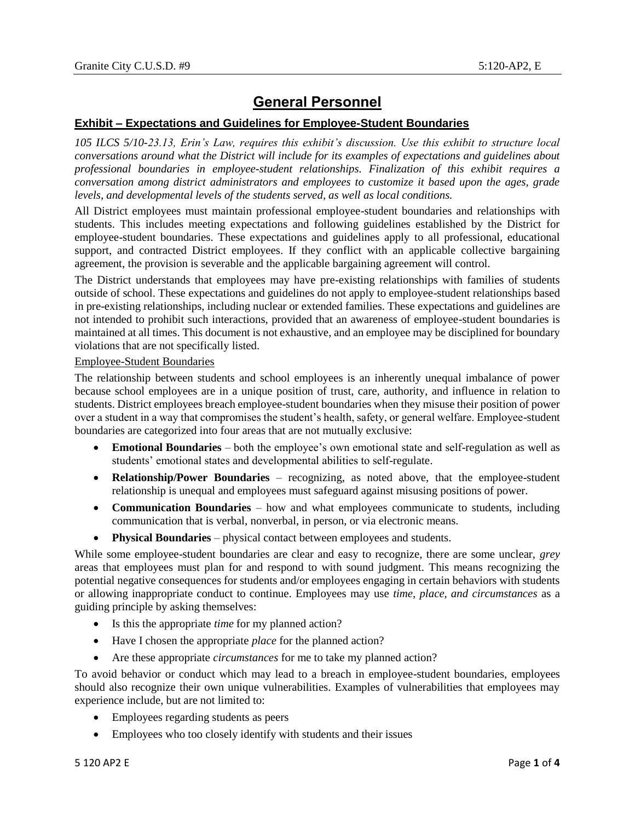## **General Personnel**

## **Exhibit – Expectations and Guidelines for Employee-Student Boundaries**

*105 ILCS 5/10-23.13, Erin's Law, requires this exhibit's discussion. Use this exhibit to structure local conversations around what the District will include for its examples of expectations and guidelines about professional boundaries in employee-student relationships. Finalization of this exhibit requires a conversation among district administrators and employees to customize it based upon the ages, grade levels, and developmental levels of the students served, as well as local conditions.* 

All District employees must maintain professional employee-student boundaries and relationships with students. This includes meeting expectations and following guidelines established by the District for employee-student boundaries. These expectations and guidelines apply to all professional, educational support, and contracted District employees. If they conflict with an applicable collective bargaining agreement, the provision is severable and the applicable bargaining agreement will control.

The District understands that employees may have pre-existing relationships with families of students outside of school. These expectations and guidelines do not apply to employee-student relationships based in pre-existing relationships, including nuclear or extended families. These expectations and guidelines are not intended to prohibit such interactions, provided that an awareness of employee-student boundaries is maintained at all times. This document is not exhaustive, and an employee may be disciplined for boundary violations that are not specifically listed.

## Employee-Student Boundaries

The relationship between students and school employees is an inherently unequal imbalance of power because school employees are in a unique position of trust, care, authority, and influence in relation to students. District employees breach employee-student boundaries when they misuse their position of power over a student in a way that compromises the student's health, safety, or general welfare. Employee-student boundaries are categorized into four areas that are not mutually exclusive:

- **Emotional Boundaries** both the employee's own emotional state and self-regulation as well as students' emotional states and developmental abilities to self-regulate.
- **Relationship/Power Boundaries** recognizing, as noted above, that the employee-student relationship is unequal and employees must safeguard against misusing positions of power.
- **Communication Boundaries** how and what employees communicate to students, including communication that is verbal, nonverbal, in person, or via electronic means.
- **Physical Boundaries** physical contact between employees and students.

While some employee-student boundaries are clear and easy to recognize, there are some unclear, *grey* areas that employees must plan for and respond to with sound judgment. This means recognizing the potential negative consequences for students and/or employees engaging in certain behaviors with students or allowing inappropriate conduct to continue. Employees may use *time, place, and circumstances* as a guiding principle by asking themselves:

- Is this the appropriate *time* for my planned action?
- Have I chosen the appropriate *place* for the planned action?
- Are these appropriate *circumstances* for me to take my planned action?

To avoid behavior or conduct which may lead to a breach in employee-student boundaries, employees should also recognize their own unique vulnerabilities. Examples of vulnerabilities that employees may experience include, but are not limited to:

- Employees regarding students as peers
- Employees who too closely identify with students and their issues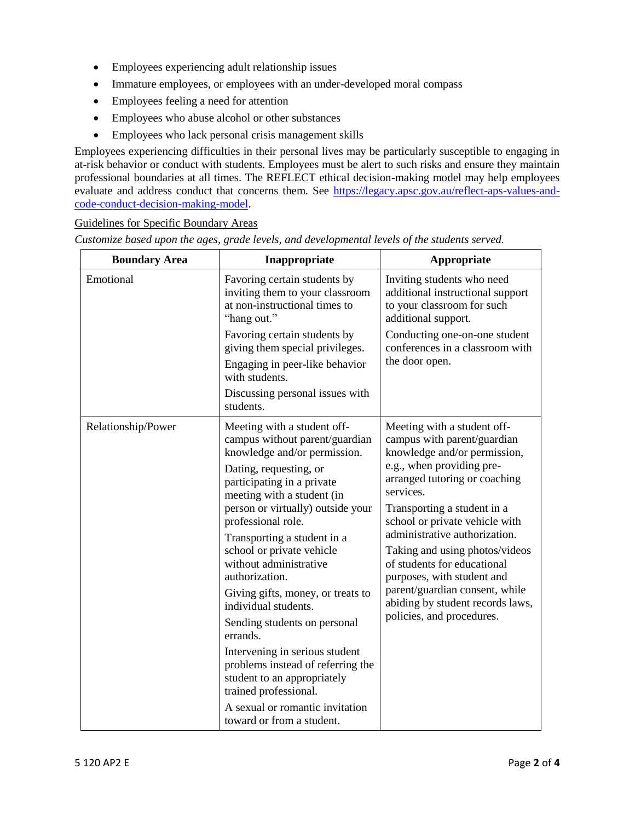- Employees experiencing adult relationship issues
- Immature employees, or employees with an under-developed moral compass
- Employees feeling a need for attention
- Employees who abuse alcohol or other substances
- Employees who lack personal crisis management skills

Employees experiencing difficulties in their personal lives may be particularly susceptible to engaging in at-risk behavior or conduct with students. Employees must be alert to such risks and ensure they maintain professional boundaries at all times. The REFLECT ethical decision-making model may help employees evaluate and address conduct that concerns them. See [https://legacy.apsc.gov.au/reflect-aps-values-and](https://legacy.apsc.gov.au/reflect-aps-values-and-code-conduct-decision-making-model)[code-conduct-decision-making-model.](https://legacy.apsc.gov.au/reflect-aps-values-and-code-conduct-decision-making-model)

## Guidelines for Specific Boundary Areas

*Customize based upon the ages, grade levels, and developmental levels of the students served.*

| <b>Boundary Area</b> | Inappropriate                                                                                                               | Appropriate                                                                                                                                                                                                                                                                                                                                                                                                                                                               |
|----------------------|-----------------------------------------------------------------------------------------------------------------------------|---------------------------------------------------------------------------------------------------------------------------------------------------------------------------------------------------------------------------------------------------------------------------------------------------------------------------------------------------------------------------------------------------------------------------------------------------------------------------|
| Emotional            | Favoring certain students by<br>inviting them to your classroom<br>at non-instructional times to<br>"hang out."             | Inviting students who need<br>additional instructional support<br>to your classroom for such<br>additional support.                                                                                                                                                                                                                                                                                                                                                       |
|                      | Favoring certain students by<br>giving them special privileges.<br>Engaging in peer-like behavior                           | Conducting one-on-one student<br>conferences in a classroom with<br>the door open.                                                                                                                                                                                                                                                                                                                                                                                        |
|                      | with students.<br>Discussing personal issues with<br>students.                                                              |                                                                                                                                                                                                                                                                                                                                                                                                                                                                           |
| Relationship/Power   | Meeting with a student off-<br>campus without parent/guardian<br>knowledge and/or permission.                               | Meeting with a student off-<br>campus with parent/guardian<br>knowledge and/or permission,<br>e.g., when providing pre-<br>arranged tutoring or coaching<br>services.<br>Transporting a student in a<br>school or private vehicle with<br>administrative authorization.<br>Taking and using photos/videos<br>of students for educational<br>purposes, with student and<br>parent/guardian consent, while<br>abiding by student records laws,<br>policies, and procedures. |
|                      | Dating, requesting, or<br>participating in a private<br>meeting with a student (in<br>person or virtually) outside your     |                                                                                                                                                                                                                                                                                                                                                                                                                                                                           |
|                      | professional role.                                                                                                          |                                                                                                                                                                                                                                                                                                                                                                                                                                                                           |
|                      | Transporting a student in a<br>school or private vehicle<br>without administrative<br>authorization.                        |                                                                                                                                                                                                                                                                                                                                                                                                                                                                           |
|                      | Giving gifts, money, or treats to<br>individual students.                                                                   |                                                                                                                                                                                                                                                                                                                                                                                                                                                                           |
|                      | Sending students on personal<br>errands.                                                                                    |                                                                                                                                                                                                                                                                                                                                                                                                                                                                           |
|                      | Intervening in serious student<br>problems instead of referring the<br>student to an appropriately<br>trained professional. |                                                                                                                                                                                                                                                                                                                                                                                                                                                                           |
|                      | A sexual or romantic invitation<br>toward or from a student.                                                                |                                                                                                                                                                                                                                                                                                                                                                                                                                                                           |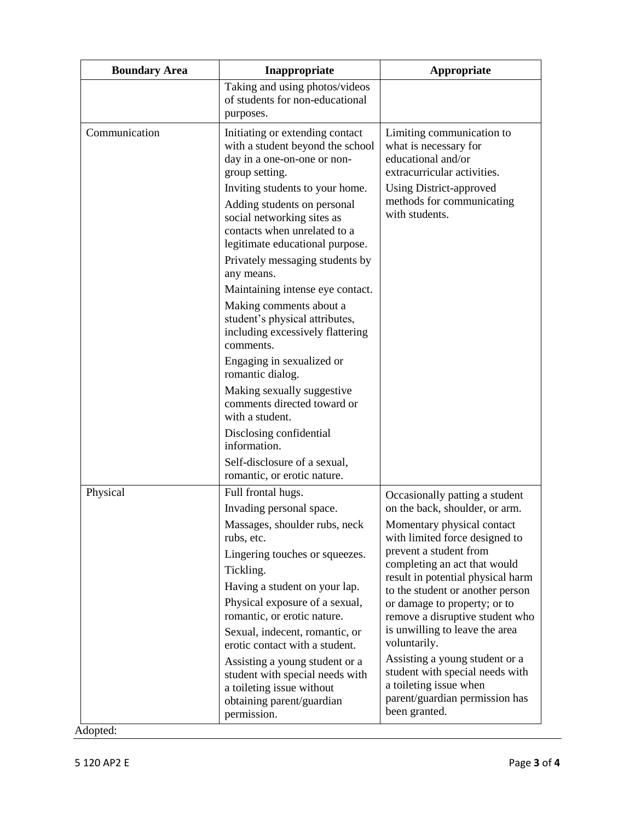| <b>Boundary Area</b> | Inappropriate                                                                                                                                                                | Appropriate                                                                                                                                                                                                                          |
|----------------------|------------------------------------------------------------------------------------------------------------------------------------------------------------------------------|--------------------------------------------------------------------------------------------------------------------------------------------------------------------------------------------------------------------------------------|
|                      | Taking and using photos/videos<br>of students for non-educational<br>purposes.                                                                                               |                                                                                                                                                                                                                                      |
| Communication        | Initiating or extending contact<br>with a student beyond the school<br>day in a one-on-one or non-<br>group setting.                                                         | Limiting communication to<br>what is necessary for<br>educational and/or<br>extracurricular activities.                                                                                                                              |
|                      | Inviting students to your home.<br>Adding students on personal<br>social networking sites as<br>contacts when unrelated to a<br>legitimate educational purpose.              | Using District-approved<br>methods for communicating<br>with students.                                                                                                                                                               |
|                      | Privately messaging students by<br>any means.                                                                                                                                |                                                                                                                                                                                                                                      |
|                      | Maintaining intense eye contact.<br>Making comments about a<br>student's physical attributes,<br>including excessively flattering<br>comments.                               |                                                                                                                                                                                                                                      |
|                      | Engaging in sexualized or<br>romantic dialog.                                                                                                                                |                                                                                                                                                                                                                                      |
|                      | Making sexually suggestive<br>comments directed toward or<br>with a student.                                                                                                 |                                                                                                                                                                                                                                      |
|                      | Disclosing confidential<br>information.                                                                                                                                      |                                                                                                                                                                                                                                      |
|                      | Self-disclosure of a sexual,<br>romantic, or erotic nature.                                                                                                                  |                                                                                                                                                                                                                                      |
| Physical             | Full frontal hugs.<br>Invading personal space.                                                                                                                               | Occasionally patting a student<br>on the back, shoulder, or arm.                                                                                                                                                                     |
|                      | Massages, shoulder rubs, neck<br>rubs, etc.                                                                                                                                  | Momentary physical contact<br>with limited force designed to                                                                                                                                                                         |
|                      | Lingering touches or squeezes.<br>Tickling.                                                                                                                                  | prevent a student from<br>completing an act that would<br>result in potential physical harm<br>to the student or another person<br>or damage to property; or to<br>remove a disruptive student who<br>is unwilling to leave the area |
|                      | Having a student on your lap.<br>Physical exposure of a sexual,<br>romantic, or erotic nature.<br>Sexual, indecent, romantic, or                                             |                                                                                                                                                                                                                                      |
|                      | erotic contact with a student.<br>Assisting a young student or a<br>student with special needs with<br>a toileting issue without<br>obtaining parent/guardian<br>permission. | voluntarily.<br>Assisting a young student or a<br>student with special needs with<br>a toileting issue when<br>parent/guardian permission has<br>been granted.                                                                       |

Adopted: